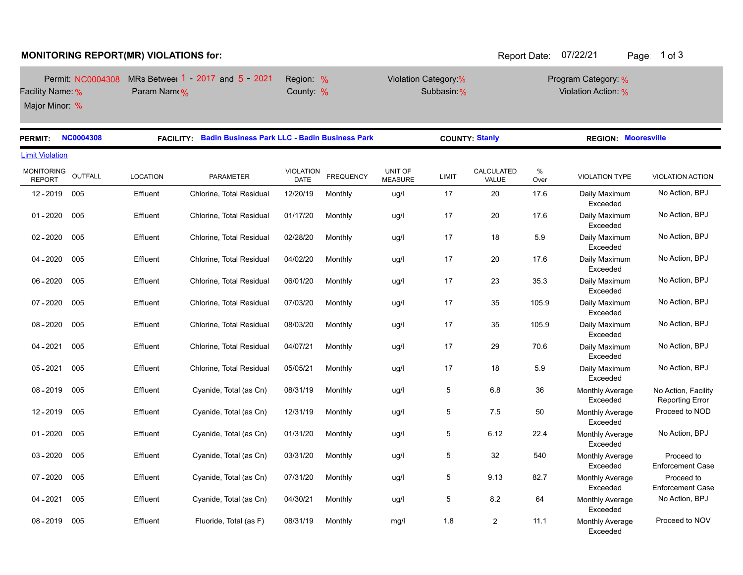## **MONITORING REPORT(MR) VIOLATIONS for:**  $\blacksquare$  Report Date: 07/22/21 Page: 1 of 3

m.

|                  | Permit: NC0004308 MRs Betweel 1 - 2017 and 5 - 2021 | Region: % | Violation Category:% | Program Category: % |
|------------------|-----------------------------------------------------|-----------|----------------------|---------------------|
| Facility Name: % | Param Name %                                        | County: % | Subbasin %           | Violation Action: % |
| Major Minor: %   |                                                     |           |                      |                     |

| <b>PERMIT:</b>                     | <b>NC0004308</b> | <b>Badin Business Park LLC - Badin Business Park</b><br><b>FACILITY:</b> |                          |                          |                  | <b>COUNTY: Stanly</b>     |       |                     | <b>REGION: Mooresville</b> |                                           |                                               |
|------------------------------------|------------------|--------------------------------------------------------------------------|--------------------------|--------------------------|------------------|---------------------------|-------|---------------------|----------------------------|-------------------------------------------|-----------------------------------------------|
| <b>Limit Violation</b>             |                  |                                                                          |                          |                          |                  |                           |       |                     |                            |                                           |                                               |
| <b>MONITORING</b><br><b>REPORT</b> | OUTFALL          | <b>LOCATION</b>                                                          | PARAMETER                | <b>VIOLATION</b><br>DATE | <b>FREQUENCY</b> | UNIT OF<br><b>MEASURE</b> | LIMIT | CALCULATED<br>VALUE | $\%$<br>Over               | <b>VIOLATION TYPE</b>                     | <b>VIOLATION ACTION</b>                       |
| 12-2019                            | 005              | Effluent                                                                 | Chlorine, Total Residual | 12/20/19                 | Monthly          | ug/l                      | 17    | 20                  | 17.6                       | Daily Maximum<br>Exceeded                 | No Action, BPJ                                |
| $01 - 2020$                        | 005              | Effluent                                                                 | Chlorine, Total Residual | 01/17/20                 | Monthly          | ug/l                      | 17    | 20                  | 17.6                       | Daily Maximum<br>Exceeded                 | No Action, BPJ                                |
| $02 - 2020$                        | 005              | Effluent                                                                 | Chlorine, Total Residual | 02/28/20                 | Monthly          | ug/l                      | 17    | 18                  | 5.9                        | Daily Maximum<br>Exceeded                 | No Action, BPJ                                |
| $04 - 2020$                        | 005              | Effluent                                                                 | Chlorine, Total Residual | 04/02/20                 | Monthly          | ug/l                      | 17    | 20                  | 17.6                       | Daily Maximum<br>Exceeded                 | No Action, BPJ                                |
| $06 - 2020$                        | 005              | Effluent                                                                 | Chlorine, Total Residual | 06/01/20                 | Monthly          | ug/l                      | 17    | 23                  | 35.3                       | Daily Maximum<br>Exceeded                 | No Action, BPJ                                |
| $07 - 2020$                        | 005              | Effluent                                                                 | Chlorine, Total Residual | 07/03/20                 | Monthly          | ug/l                      | 17    | 35                  | 105.9                      | Daily Maximum<br>Exceeded                 | No Action, BPJ                                |
| $08 - 2020$                        | 005              | Effluent                                                                 | Chlorine, Total Residual | 08/03/20                 | Monthly          | ug/l                      | 17    | 35                  | 105.9                      | Daily Maximum<br>Exceeded                 | No Action, BPJ                                |
| $04 - 2021$                        | 005              | Effluent                                                                 | Chlorine, Total Residual | 04/07/21                 | Monthly          | ug/l                      | 17    | 29                  | 70.6                       | Daily Maximum<br>Exceeded                 | No Action, BPJ                                |
| $05 - 2021$                        | 005              | Effluent                                                                 | Chlorine, Total Residual | 05/05/21                 | Monthly          | ug/l                      | 17    | 18                  | 5.9                        | Daily Maximum<br>Exceeded                 | No Action, BPJ                                |
| $08 - 2019$                        | 005              | Effluent                                                                 | Cyanide, Total (as Cn)   | 08/31/19                 | Monthly          | ug/l                      | 5     | 6.8                 | 36                         | <b>Monthly Average</b><br>Exceeded        | No Action, Facility<br><b>Reporting Error</b> |
| $12 - 2019$                        | 005              | Effluent                                                                 | Cyanide, Total (as Cn)   | 12/31/19                 | Monthly          | ug/l                      | 5     | 7.5                 | 50                         | Monthly Average<br>Exceeded               | Proceed to NOD                                |
| $01 - 2020$                        | 005              | Effluent                                                                 | Cyanide, Total (as Cn)   | 01/31/20                 | Monthly          | ug/l                      | 5     | 6.12                | 22.4                       | <b>Monthly Average</b><br>Exceeded        | No Action, BPJ                                |
| $03 - 2020$                        | 005              | Effluent                                                                 | Cyanide, Total (as Cn)   | 03/31/20                 | Monthly          | ug/l                      | 5     | 32                  | 540                        | Monthly Average<br>Exceeded               | Proceed to<br><b>Enforcement Case</b>         |
| $07 - 2020$                        | 005              | Effluent                                                                 | Cyanide, Total (as Cn)   | 07/31/20                 | Monthly          | ug/l                      | 5     | 9.13                | 82.7                       | Monthly Average<br>Exceeded               | Proceed to<br><b>Enforcement Case</b>         |
| $04 - 2021$                        | 005              | Effluent                                                                 | Cyanide, Total (as Cn)   | 04/30/21                 | Monthly          | ug/l                      | 5     | 8.2                 | 64                         | Monthly Average<br>Exceeded               | No Action, BPJ                                |
| $08 - 2019$                        | 005              | Effluent                                                                 | Fluoride, Total (as F)   | 08/31/19                 | Monthly          | mg/l                      | 1.8   | $\overline{2}$      | 11.1                       | <b>Monthly Average</b><br><b>Exceeded</b> | Proceed to NOV                                |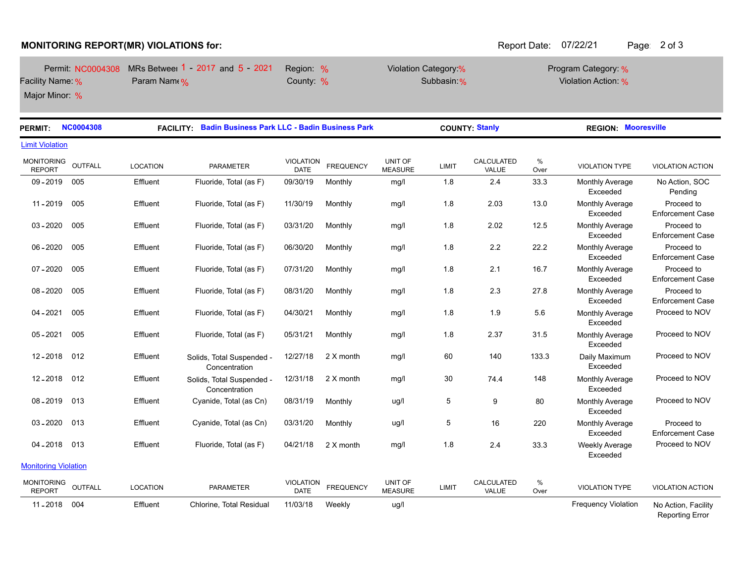## **MONITORING REPORT(MR) VIOLATIONS for:**  $\overline{a}$  Report Date: 07/22/21 Page: 2 of 3

|                  | Permit NC0004308 MRs Betweel 1 - 2017 and 5 - 2021 | Region: % | Violation Category:% | Program Category: % |
|------------------|----------------------------------------------------|-----------|----------------------|---------------------|
| Facility Name: % | Param Name %                                       | County: % | Subbasin %           | Violation Action: % |
| Major Minor: %   |                                                    |           |                      |                     |

**PERMIT: NC0004308 FACILITY: Badin Business Park LLC - Badin Business Park COUNTY: Stanly REGION: Mooresville**  $\frac{0}{6}$ Over UNIT OF LIMIT VALUE Over VIOLATION TYPE VIOLATION ACTION CALCULATED FREQUENCY MEASURE VIOLATION LOCATION PARAMETER MONITORING REPORT Limit Violation OUTFALL 09 - 2019 005 Effluent Fluoride, Total (as F) 09/30/19 Monthly Monthly Average Exceeded No Action, SOC Pending mg/l 1.8 2.4 33.3 11 - 2019 005 Effluent Fluoride, Total (as F) 11/30/19 Monthly mg/l 1.8 2.03 13.0 Monthly Average Exceeded Proceed to Enforcement Case mg/l 1.8 2.03 13.0 03 - 2020 005 Effluent Fluoride, Total (as F) 03/31/20 Monthly Monthly Average Exceeded Proceed to Enforcement Case mg/l 1.8 2.02 12.5 06 - 2020 005 Effluent Fluoride, Total (as F) 06/30/20 Monthly Monthly Average Exceeded Proceed to Enforcement Case mg/l 1.8 2.2 22.2 07 - 2020 005 Effluent Fluoride, Total (as F) 07/31/20 Monthly Monthly Average Exceeded Proceed to Enforcement Case mg/l 1.8 2.1 16.7 08 - 2020 005 Effluent Fluoride, Total (as F) 08/31/20 Monthly Monthly Average Exceeded Proceed to Enforcement Case mg/l 1.8 2.3 27.8 04 - 2021 005 Effluent Fluoride, Total (as F) 04/30/21 Monthly Monthly Average Exceeded mg/l 1.8 1.9 5.6 Monthly Average Proceed to NOV 05 - 2021 005 Effluent Fluoride, Total (as F) 05/31/21 Monthly Monthly Average Exceeded mg/l  $1.8$  2.37 31.5 Monthly Average Proceed to NOV 12-2018 012 Effluent Solids, Total Suspended -**Concentration** 12/27/18 2 X month mg/l 60 140 133.3 Daily Maximum Proceed to NOV Exceeded 12 - 2018 012 Effluent Solids, Total Suspended - Concentration 12/31/18 2 X month mg/l 30 74.4 148 Monthly Average Proceed to NOV Exceeded 08 - 2019 013 Effluent Cyanide, Total (as Cn) 08/31/19 Monthly Monthly Average Exceeded ug/l  $5$  9 80 Monthly Average Proceed to NOV 03 - 2020 013 Effluent Cyanide, Total (as Cn) 03/31/20 Monthly Monthly Average Exceeded Proceed to Enforcement Case ug/l 5 16 220 04 - 2018 013 Effluent Fluoride, Total (as F) 04/21/18 2 X month Weekly Average Exceeded mg/l  $1.8$  2.4 33.3 Weekly Average Proceed to NOV % Over UNIT OF MEASURE LIMIT CALCOLATED <sup>10</sup><br>MEASURE LIMIT VALUE Over VIOLATION TYPE VIOLATION ACTION CALCULATED **FREQUENCY** VIOLATION LOCATION PARAMETER DATE MONITORING REPORT **Monitoring Violation** OUTFALL 11 - 2018 004 Effluent Chlorine, Total Residual 11/03/18 Weekly Frequency Violation No Action, Facility Reporting Error ug/l